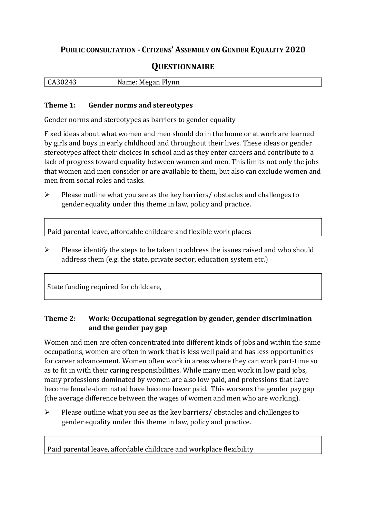## **PUBLIC CONSULTATION - CITIZENS' ASSEMBLY ON GENDER EQUALITY 2020**

# **QUESTIONNAIRE**

| $\Delta$<br>ື<br><b>. .</b><br>$\sim$ | --<br>$- - - - -$<br>$\sim$ $\sim$ $\sim$<br>M<br>N<br>шп<br>I V |
|---------------------------------------|------------------------------------------------------------------|
|                                       |                                                                  |

#### **Theme 1: Gender norms and stereotypes**

Gender norms and stereotypes as barriers to gender equality

Fixed ideas about what women and men should do in the home or at work are learned by girls and boys in early childhood and throughout their lives. These ideas or gender stereotypes affect their choices in school and as they enter careers and contribute to a lack of progress toward equality between women and men. This limits not only the jobs that women and men consider or are available to them, but also can exclude women and men from social roles and tasks.

➢ Please outline what you see as the key barriers/ obstacles and challenges to gender equality under this theme in law, policy and practice.

Paid parental leave, affordable childcare and flexible work places

 $\triangleright$  Please identify the steps to be taken to address the issues raised and who should address them (e.g. the state, private sector, education system etc.)

State funding required for childcare,

#### **Theme 2: Work: Occupational segregation by gender, gender discrimination and the gender pay gap**

Women and men are often concentrated into different kinds of jobs and within the same occupations, women are often in work that is less well paid and has less opportunities for career advancement. Women often work in areas where they can work part-time so as to fit in with their caring responsibilities. While many men work in low paid jobs, many professions dominated by women are also low paid, and professions that have become female-dominated have become lower paid. This worsens the gender pay gap (the average difference between the wages of women and men who are working).

➢ Please outline what you see as the key barriers/ obstacles and challenges to gender equality under this theme in law, policy and practice.

Paid parental leave, affordable childcare and workplace flexibility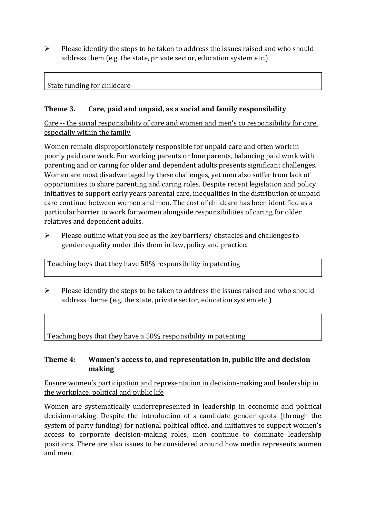$\triangleright$  Please identify the steps to be taken to address the issues raised and who should address them (e.g. the state, private sector, education system etc.)

#### State funding for childcare

### **Theme 3. Care, paid and unpaid, as a social and family responsibility**

Care -- the social responsibility of care and women and men's co responsibility for care, especially within the family

Women remain disproportionately responsible for unpaid care and often work in poorly paid care work. For working parents or [lone parents,](https://aran.library.nuigalway.ie/bitstream/handle/10379/6044/Millar_and_Crosse_Activation_Report.pdf?sequence=1&isAllowed=y) balancing paid work with parenting and or caring for older and dependent adults presents significant challenges. Women are [most disadvantaged by these challenges,](https://eige.europa.eu/gender-equality-index/game/IE/W) yet men also suffer from lack of opportunities to share parenting and caring roles. Despite recent legislation and policy initiatives to support early years parental care, [inequalities in the distribution of unpaid](https://www.ihrec.ie/app/uploads/2019/07/Caring-and-Unpaid-Work-in-Ireland_Final.pdf)  [care](https://www.ihrec.ie/app/uploads/2019/07/Caring-and-Unpaid-Work-in-Ireland_Final.pdf) continue between women and men. The cost of childcare has been identified as a particular barrier to work for women alongside responsibilities of caring for older relatives and dependent adults.

➢ Please outline what you see as the key barriers/ obstacles and challenges to gender equality under this them in law, policy and practice.

Teaching boys that they have 50% responsibility in patenting

 $\triangleright$  Please identify the steps to be taken to address the issues raised and who should address theme (e.g. the state, private sector, education system etc.)

Teaching boys that they have a 50% responsibility in patenting

#### **Theme 4: Women's access to, and representation in, public life and decision making**

Ensure women's participation and representation in decision-making and leadership in the workplace, political and public life

Women are systematically underrepresented in leadership in [economic](https://eige.europa.eu/gender-equality-index/2019/compare-countries/power/2/bar) and [political](https://eige.europa.eu/gender-equality-index/2019/compare-countries/power/1/bar)  [decision-](https://eige.europa.eu/gender-equality-index/2019/compare-countries/power/1/bar)making. Despite the introduction of a candidate gender quota (through the system of party funding) for national political office, and [initiatives](https://betterbalance.ie/) to support women's access to corporate decision-making roles, men continue to dominate leadership positions. There are also issues to be considered around how media represents women and men.